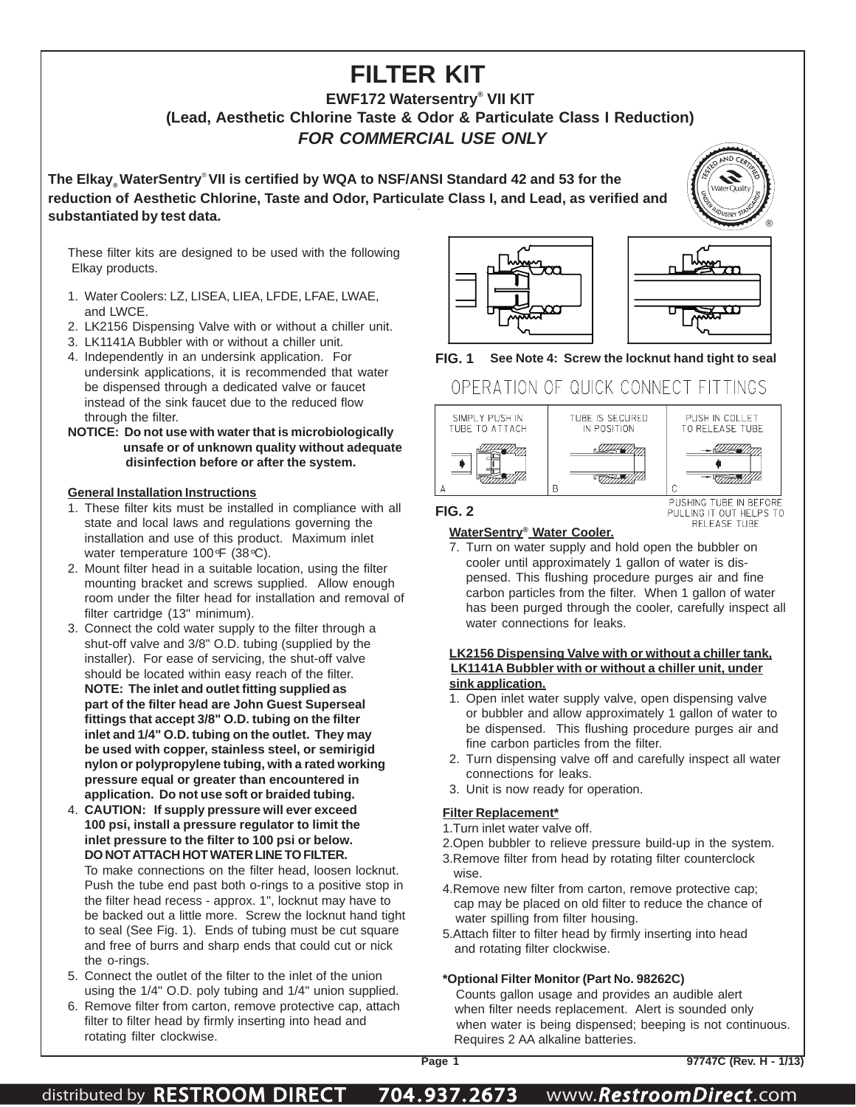# **FILTER KIT**

### **EWF172 Watersentry® VII KIT (Lead, Aesthetic Chlorine Taste & Odor & Particulate Class I Reduction)** *FOR COMMERCIAL USE ONLY*

**The Elkay® WaterSentry**® **VII is certified by WQA to NSF/ANSI Standard 42 and 53 for the reduction of Aesthetic Chlorine, Taste and Odor, Particulate Class I, and Lead, as verified and** substantiated by test data.

These filter kits are designed to be used with the following Elkay products.

- 1. Water Coolers: LZ, LISEA, LIEA, LFDE, LFAE, LWAE, and LWCE.
- 2. LK2156 Dispensing Valve with or without a chiller unit.
- 3. LK1141A Bubbler with or without a chiller unit.
- 4. Independently in an undersink application. For undersink applications, it is recommended that water be dispensed through a dedicated valve or faucet instead of the sink faucet due to the reduced flow through the filter.
- **NOTICE: Do not use with water that is microbiologically unsafe or of unknown quality without adequate disinfection before or after the system.**

### **General Installation Instructions**

- 1. These filter kits must be installed in compliance with all state and local laws and regulations governing the installation and use of this product. Maximum inlet water temperature 100°F (38°C).
- 2. Mount filter head in a suitable location, using the filter mounting bracket and screws supplied. Allow enough room under the filter head for installation and removal of filter cartridge (13" minimum).
- 3. Connect the cold water supply to the filter through a shut-off valve and 3/8" O.D. tubing (supplied by the installer). For ease of servicing, the shut-off valve should be located within easy reach of the filter. **NOTE: The inlet and outlet fitting supplied as part of the filter head are John Guest Superseal fittings that accept 3/8" O.D. tubing on the filter inlet and 1/4" O.D. tubing on the outlet. They may be used with copper, stainless steel, or semirigid nylon or polypropylene tubing, with a rated working pressure equal or greater than encountered in application. Do not use soft or braided tubing.**
- 4. **CAUTION: If supply pressure will ever exceed 100 psi, install a pressure regulator to limit the inlet pressure to the filter to 100 psi or below. DO NOT ATTACH HOT WATER LINE TO FILTER.** To make connections on the filter head, loosen locknut. Push the tube end past both o-rings to a positive stop in the filter head recess - approx. 1", locknut may have to be backed out a little more. Screw the locknut hand tight to seal (See Fig. 1). Ends of tubing must be cut square and free of burrs and sharp ends that could cut or nick the o-rings.
- 5. Connect the outlet of the filter to the inlet of the union using the 1/4" O.D. poly tubing and 1/4" union supplied.
- 6. Remove filter from carton, remove protective cap, attach filter to filter head by firmly inserting into head and rotating filter clockwise.





### **FIG. 1 See Note 4: Screw the locknut hand tight to seal**

## OPERATION OF QUICK CONNECT FITTINGS



PULLING IT OUT HELPS TO RELEASE TUBE

### **WaterSentry® Water Cooler.**

7. Turn on water supply and hold open the bubbler on cooler until approximately 1 gallon of water is dispensed. This flushing procedure purges air and fine carbon particles from the filter. When 1 gallon of water has been purged through the cooler, carefully inspect all water connections for leaks.

#### **LK2156 Dispensing Valve with or without a chiller tank, LK1141A Bubbler with or without a chiller unit, under sink application.**

- 1. Open inlet water supply valve, open dispensing valve or bubbler and allow approximately 1 gallon of water to be dispensed. This flushing procedure purges air and fine carbon particles from the filter.
- 2. Turn dispensing valve off and carefully inspect all water connections for leaks.
- 3. Unit is now ready for operation.

### **Filter Replacement\***

- 1.Turn inlet water valve off.
- 2.Open bubbler to relieve pressure build-up in the system.
- 3.Remove filter from head by rotating filter counterclock wise.
- 4.Remove new filter from carton, remove protective cap; cap may be placed on old filter to reduce the chance of water spilling from filter housing.
- 5.Attach filter to filter head by firmly inserting into head and rotating filter clockwise.

### **\*Optional Filter Monitor (Part No. 98262C)**

 Counts gallon usage and provides an audible alert when filter needs replacement. Alert is sounded only when water is being dispensed; beeping is not continuous. Requires 2 AA alkaline batteries.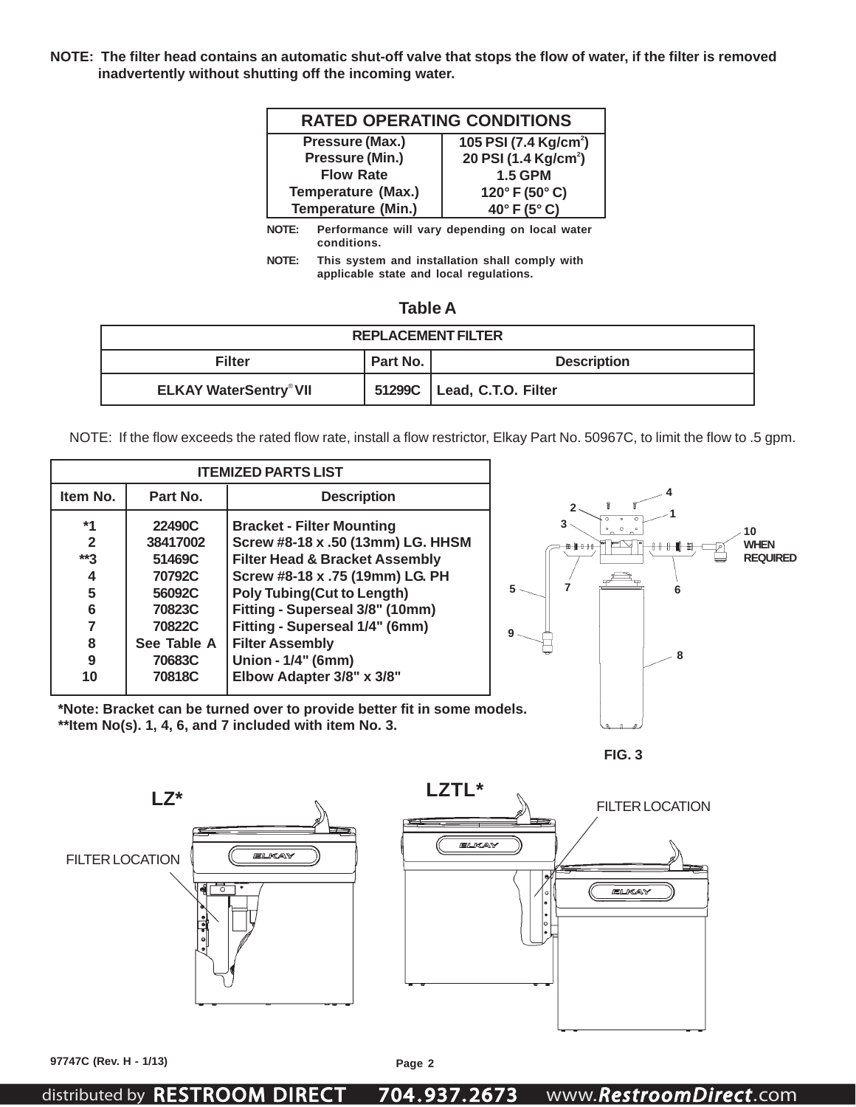**NOTE: The filter head contains an automatic shut-off valve that stops the flow of water, if the filter is removed inadvertently without shutting off the incoming water.**

| <b>RATED OPERATING CONDITIONS</b> |                                   |  |  |  |
|-----------------------------------|-----------------------------------|--|--|--|
| Pressure (Max.)                   | 105 PSI (7.4 Kg/cm <sup>2</sup> ) |  |  |  |
| Pressure (Min.)                   | 20 PSI (1.4 Kg/cm <sup>2</sup> )  |  |  |  |
| <b>Flow Rate</b>                  | <b>1.5 GPM</b>                    |  |  |  |
| <b>Temperature (Max.)</b>         | 120° F (50° C)                    |  |  |  |
| <b>Temperature (Min.)</b>         | 40°F(5°C)                         |  |  |  |

**NOTE: Performance will vary depending on local water conditions.**

**NOTE: This system and installation shall comply with applicable state and local regulations.**

| <b>REPLACEMENT FILTER</b>     |                                |                     |  |  |  |
|-------------------------------|--------------------------------|---------------------|--|--|--|
| <b>Filter</b>                 | Part No.<br><b>Description</b> |                     |  |  |  |
| <b>ELKAY WaterSentry® VII</b> | 51299C                         | Lead, C.T.O. Filter |  |  |  |

NOTE: If the flow exceeds the rated flow rate, install a flow restrictor, Elkay Part No. 50967C, to limit the flow to .5 gpm.

| <b>ITEMIZED PARTS LIST</b>                        |                                                                                                         |                                                                                                                                                                                                                                                                                                                                              |                                                                                        |
|---------------------------------------------------|---------------------------------------------------------------------------------------------------------|----------------------------------------------------------------------------------------------------------------------------------------------------------------------------------------------------------------------------------------------------------------------------------------------------------------------------------------------|----------------------------------------------------------------------------------------|
| Item No.                                          | Part No.                                                                                                | <b>Description</b>                                                                                                                                                                                                                                                                                                                           |                                                                                        |
| $*1$<br>2<br>$**3$<br>4<br>5<br>6<br>8<br>9<br>10 | 22490C<br>38417002<br>51469C<br>70792C<br>56092C<br>70823C<br>70822C<br>See Table A<br>70683C<br>70818C | <b>Bracket - Filter Mounting</b><br>Screw #8-18 x .50 (13mm) LG. HHSM<br><b>Filter Head &amp; Bracket Assembly</b><br>Screw #8-18 x .75 (19mm) LG. PH<br><b>Poly Tubing(Cut to Length)</b><br>Fitting - Superseal 3/8" (10mm)<br>Fitting - Superseal 1/4" (6mm)<br><b>Filter Assembly</b><br>Union - 1/4" (6mm)<br>Elbow Adapter 3/8" x 3/8" | $\circ$<br>10<br><b>WHEN</b><br>$H$   $H$ + $H$<br><b>REQUIRED</b><br>5<br>6<br>g<br>8 |

 **\*Note: Bracket can be turned over to provide better fit in some models. \*\*Item No(s). 1, 4, 6, and 7 included with item No. 3.**





**97747C (Rev. H - 1/13) Page 2**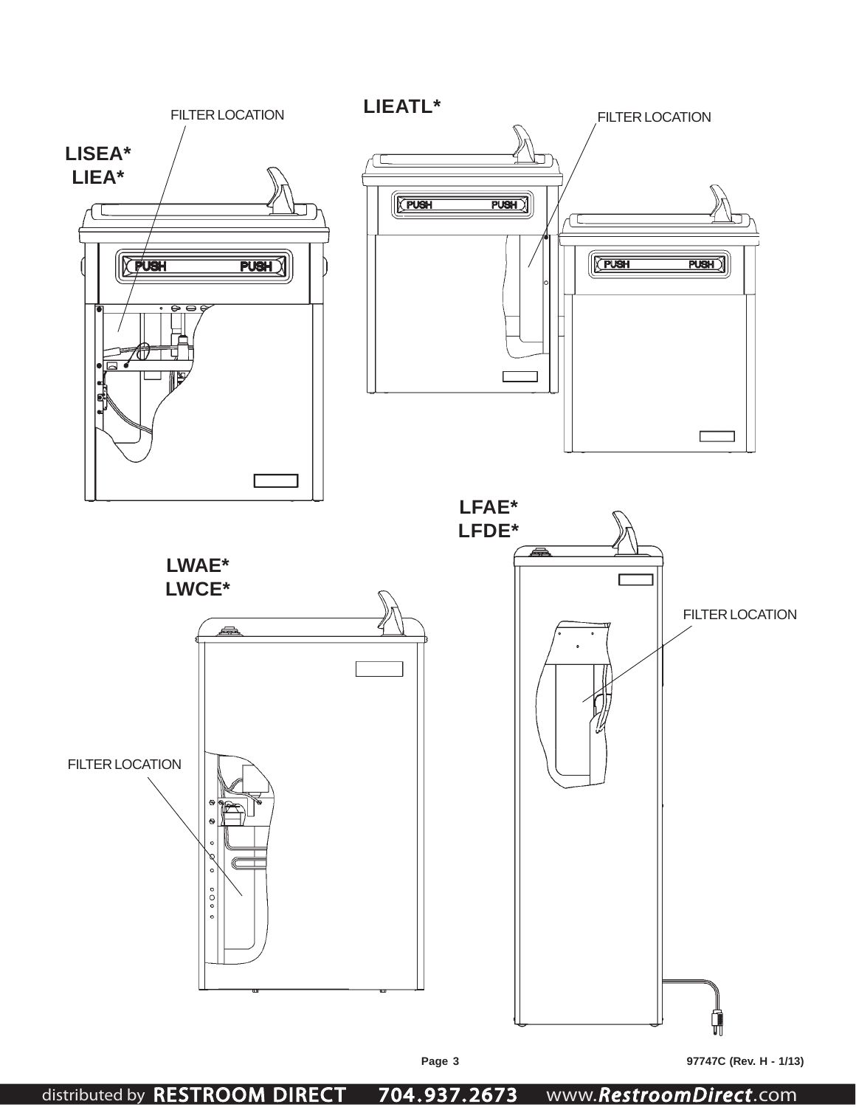

**Page 3 97747C (Rev. H - 1/13)**

distributed by RESTROOM DIRECT 704 . 937. 2673 www.*RestroomDirect*.com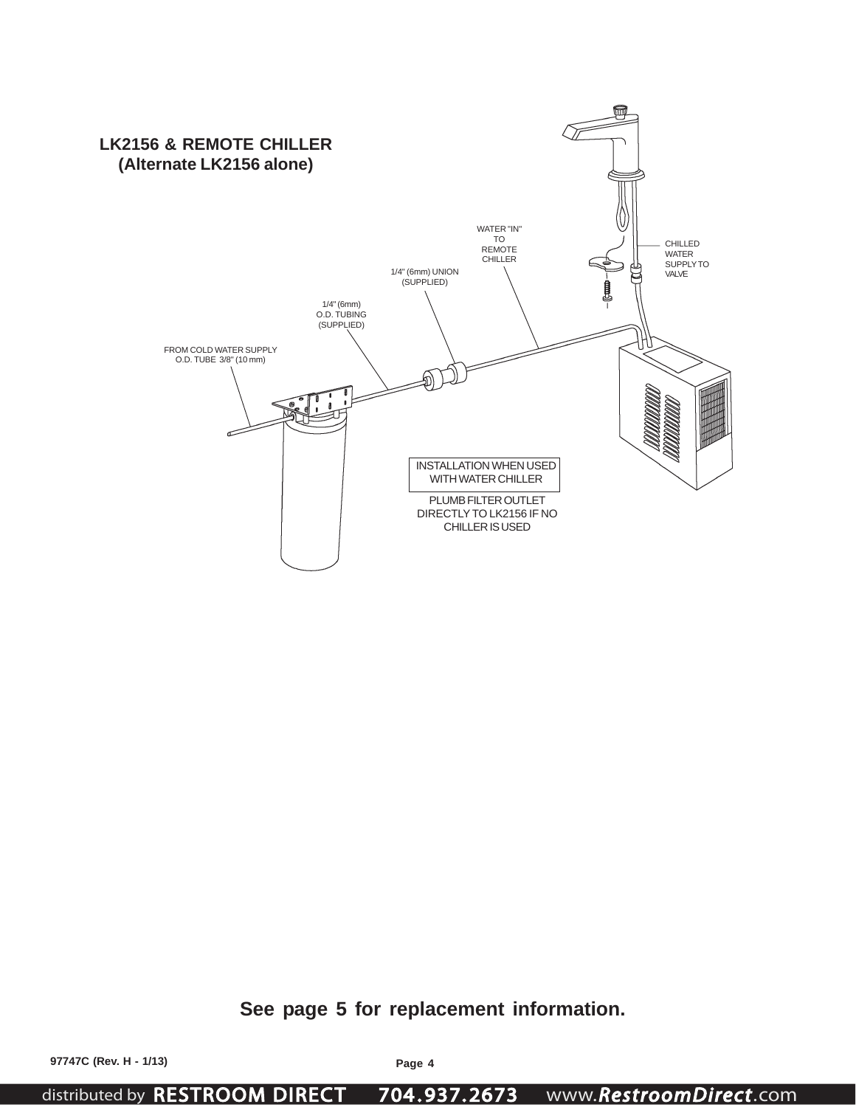

**See page 5 for replacement information.**

distributed by RESTROOM DIRECT 704 . 937. 2673 www.*RestroomDirect*.com